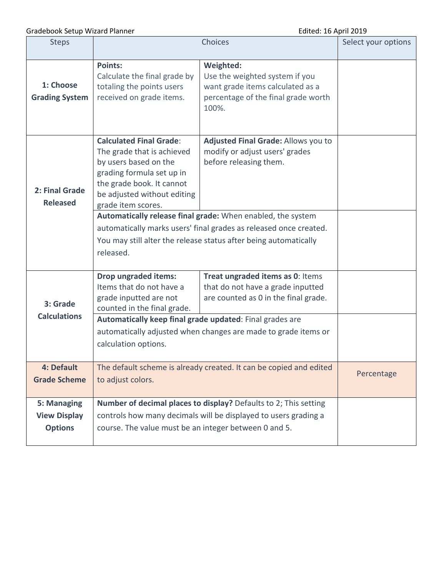Gradebook Setup Wizard Planner **Edited: 16 April 2019** 

| <b>Steps</b>                                         |                                                                                                                                                                                                                                                                                                                                                                                                                           | Select your options                                                                                                             |  |
|------------------------------------------------------|---------------------------------------------------------------------------------------------------------------------------------------------------------------------------------------------------------------------------------------------------------------------------------------------------------------------------------------------------------------------------------------------------------------------------|---------------------------------------------------------------------------------------------------------------------------------|--|
| 1: Choose<br><b>Grading System</b>                   | <b>Points:</b><br>Calculate the final grade by<br>totaling the points users<br>received on grade items.                                                                                                                                                                                                                                                                                                                   | Weighted:<br>Use the weighted system if you<br>want grade items calculated as a<br>percentage of the final grade worth<br>100%. |  |
| 2: Final Grade<br><b>Released</b>                    | <b>Calculated Final Grade:</b><br>The grade that is achieved<br>by users based on the<br>grading formula set up in<br>the grade book. It cannot<br>be adjusted without editing<br>grade item scores.<br>Automatically release final grade: When enabled, the system<br>automatically marks users' final grades as released once created.<br>You may still alter the release status after being automatically<br>released. |                                                                                                                                 |  |
| 3: Grade<br><b>Calculations</b>                      | <b>Drop ungraded items:</b><br>Items that do not have a<br>grade inputted are not<br>counted in the final grade.<br>Automatically keep final grade updated: Final grades are<br>automatically adjusted when changes are made to grade items or<br>calculation options.                                                                                                                                                    |                                                                                                                                 |  |
| 4: Default<br><b>Grade Scheme</b>                    | The default scheme is already created. It can be copied and edited<br>to adjust colors.                                                                                                                                                                                                                                                                                                                                   | Percentage                                                                                                                      |  |
| 5: Managing<br><b>View Display</b><br><b>Options</b> | Number of decimal places to display? Defaults to 2; This setting<br>controls how many decimals will be displayed to users grading a<br>course. The value must be an integer between 0 and 5.                                                                                                                                                                                                                              |                                                                                                                                 |  |